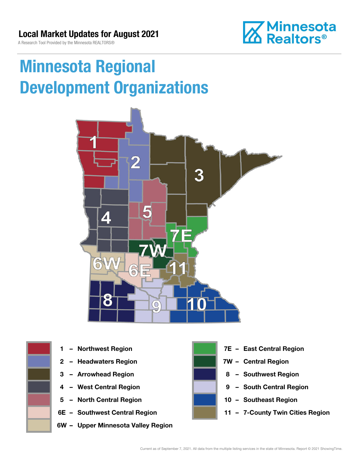A Research Tool Provided by the Minnesota REALTORS®



# Minnesota Regional Development Organizations







- 
- 
- 
- 5 North Central Region 10 Southeast Region
- 
- 6W Upper Minnesota Valley Region



- 1 Northwest Region **1 1999 12 Property Contral Region**
- 2 Headwaters Region **1988 7W Central Region**
- 3 Arrowhead Region **8 Southwest Region**
- 4 West Central Region **19 South Central Region** 
	-
- 6E Southwest Central Region **11 7-County Twin Cities Region**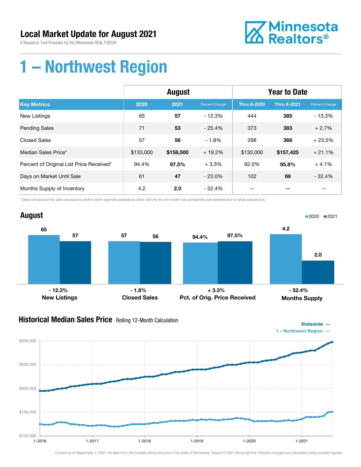A Research Tool Provided by the Minnesota REALTORS®



## 1 – Northwest Region

|                                          | <b>August</b> |           |                | <b>Year to Date</b> |                    |                |
|------------------------------------------|---------------|-----------|----------------|---------------------|--------------------|----------------|
| <b>Key Metrics</b>                       | 2020          | 2021      | Percent Change | <b>Thru 8-2020</b>  | <b>Thru 8-2021</b> | Percent Change |
| <b>New Listings</b>                      | 65            | 57        | $-12.3%$       | 444                 | 385                | $-13.3%$       |
| <b>Pending Sales</b>                     | 71            | 53        | $-25.4%$       | 373                 | 383                | $+2.7%$        |
| <b>Closed Sales</b>                      | 57            | 56        | $-1.8%$        | 298                 | 368                | $+23.5%$       |
| Median Sales Price*                      | \$133,000     | \$158,500 | $+19.2%$       | \$130,000           | \$157,425          | $+21.1%$       |
| Percent of Original List Price Received* | 94.4%         | 97.5%     | $+3.3%$        | 92.0%               | 95.8%              | $+4.1%$        |
| Days on Market Until Sale                | 61            | 47        | $-23.0%$       | 102                 | 69                 | $-32.4%$       |
| Months Supply of Inventory               | 4.2           | 2.0       | $-52.4%$       | --                  |                    | --             |

\* Does not account for sale concessions and/or down payment assistance. Note: Activity for one month can sometimes look extreme due to small sample size.



### **Historical Median Sales Price** Rolling 12-Month Calculation



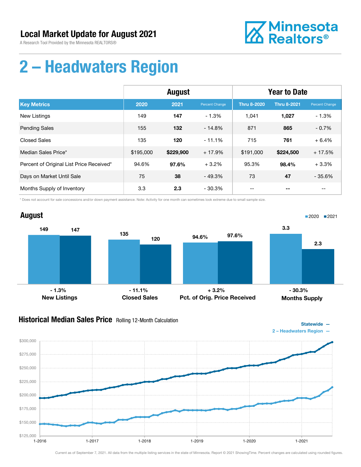A Research Tool Provided by the Minnesota REALTORS®



## 2 – Headwaters Region

|                                          | <b>August</b> |           |                | <b>Year to Date</b> |                    |                |
|------------------------------------------|---------------|-----------|----------------|---------------------|--------------------|----------------|
| <b>Key Metrics</b>                       | 2020          | 2021      | Percent Change | <b>Thru 8-2020</b>  | <b>Thru 8-2021</b> | Percent Change |
| New Listings                             | 149           | 147       | $-1.3%$        | 1.041               | 1,027              | $-1.3%$        |
| <b>Pending Sales</b>                     | 155           | 132       | $-14.8%$       | 871                 | 865                | $-0.7%$        |
| <b>Closed Sales</b>                      | 135           | 120       | $-11.1%$       | 715                 | 761                | $+6.4%$        |
| Median Sales Price*                      | \$195,000     | \$229,900 | $+17.9%$       | \$191,000           | \$224,500          | $+17.5%$       |
| Percent of Original List Price Received* | 94.6%         | 97.6%     | $+3.2%$        | 95.3%               | 98.4%              | $+3.3%$        |
| Days on Market Until Sale                | 75            | 38        | $-49.3%$       | 73                  | 47                 | $-35.6%$       |
| Months Supply of Inventory               | 3.3           | 2.3       | - 30.3%        | --                  | --                 | $- -$          |

\* Does not account for sale concessions and/or down payment assistance. Note: Activity for one month can sometimes look extreme due to small sample size.



### Historical Median Sales Price Rolling 12-Month Calculation



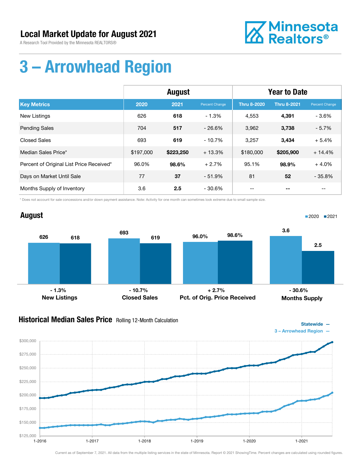A Research Tool Provided by the Minnesota REALTORS®



## 3 – Arrowhead Region

|                                          | August    |           |                | <b>Year to Date</b> |                    |                |
|------------------------------------------|-----------|-----------|----------------|---------------------|--------------------|----------------|
| <b>Key Metrics</b>                       | 2020      | 2021      | Percent Change | <b>Thru 8-2020</b>  | <b>Thru 8-2021</b> | Percent Change |
| New Listings                             | 626       | 618       | $-1.3%$        | 4,553               | 4,391              | $-3.6%$        |
| <b>Pending Sales</b>                     | 704       | 517       | $-26.6%$       | 3,962               | 3,738              | $-5.7%$        |
| <b>Closed Sales</b>                      | 693       | 619       | $-10.7%$       | 3,257               | 3,434              | $+5.4%$        |
| Median Sales Price*                      | \$197,000 | \$223,250 | $+13.3%$       | \$180,000           | \$205,900          | $+14.4%$       |
| Percent of Original List Price Received* | 96.0%     | 98.6%     | $+2.7%$        | 95.1%               | 98.9%              | $+4.0%$        |
| Days on Market Until Sale                | 77        | 37        | $-51.9%$       | 81                  | 52                 | $-35.8%$       |
| Months Supply of Inventory               | 3.6       | 2.5       | - 30.6%        | --                  |                    | $- -$          |

\* Does not account for sale concessions and/or down payment assistance. Note: Activity for one month can sometimes look extreme due to small sample size.



### **Historical Median Sales Price** Rolling 12-Month Calculation



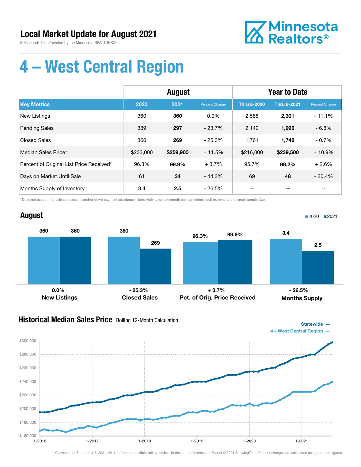A Research Tool Provided by the Minnesota REALTORS®



Statewide —

■2020 2021

# 4 – West Central Region

|                                          | August    |           |                | <b>Year to Date</b> |                    |                       |
|------------------------------------------|-----------|-----------|----------------|---------------------|--------------------|-----------------------|
| <b>Key Metrics</b>                       | 2020      | 2021      | Percent Change | <b>Thru 8-2020</b>  | <b>Thru 8-2021</b> | <b>Percent Change</b> |
| <b>New Listings</b>                      | 360       | 360       | $0.0\%$        | 2,588               | 2,301              | $-11.1%$              |
| <b>Pending Sales</b>                     | 389       | 297       | $-23.7%$       | 2,142               | 1,996              | $-6.8%$               |
| <b>Closed Sales</b>                      | 360       | 269       | $-25.3%$       | 1.761               | 1,748              | $-0.7%$               |
| Median Sales Price*                      | \$233,000 | \$259,900 | $+11.5%$       | \$216,000           | \$239,500          | $+10.9%$              |
| Percent of Original List Price Received* | 96.3%     | 99.9%     | $+3.7%$        | 95.7%               | 98.2%              | $+2.6%$               |
| Days on Market Until Sale                | 61        | 34        | $-44.3%$       | 69                  | 48                 | $-30.4%$              |
| Months Supply of Inventory               | 3.4       | 2.5       | - 26.5%        |                     |                    |                       |

\* Does not account for sale concessions and/or down payment assistance. Note: Activity for one month can sometimes look extreme due to small sample size.

### August



### Historical Median Sales Price Rolling 12-Month Calculation

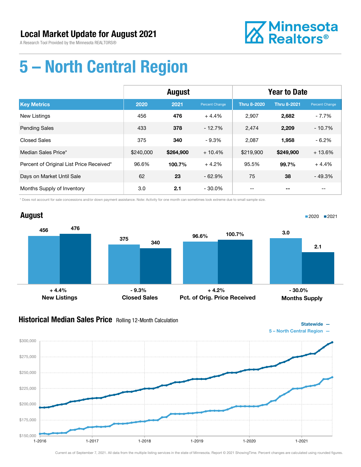

Statewide —

# 5 – North Central Region

|                                          | <b>August</b> |           |                       | <b>Year to Date</b> |                    |                       |
|------------------------------------------|---------------|-----------|-----------------------|---------------------|--------------------|-----------------------|
| <b>Key Metrics</b>                       | 2020          | 2021      | <b>Percent Change</b> | <b>Thru 8-2020</b>  | <b>Thru 8-2021</b> | <b>Percent Change</b> |
| <b>New Listings</b>                      | 456           | 476       | $+4.4%$               | 2.907               | 2,682              | $-7.7%$               |
| <b>Pending Sales</b>                     | 433           | 378       | $-12.7%$              | 2,474               | 2,209              | $-10.7%$              |
| Closed Sales                             | 375           | 340       | $-9.3%$               | 2,087               | 1,958              | $-6.2%$               |
| Median Sales Price*                      | \$240,000     | \$264,900 | $+10.4%$              | \$219,900           | \$249,900          | $+13.6%$              |
| Percent of Original List Price Received* | 96.6%         | 100.7%    | $+4.2%$               | 95.5%               | 99.7%              | $+4.4%$               |
| Days on Market Until Sale                | 62            | 23        | $-62.9%$              | 75                  | 38                 | $-49.3%$              |
| Months Supply of Inventory               | 3.0           | 2.1       | $-30.0\%$             |                     |                    | $- -$                 |

\* Does not account for sale concessions and/or down payment assistance. Note: Activity for one month can sometimes look extreme due to small sample size.



### **Historical Median Sales Price** Rolling 12-Month Calculation

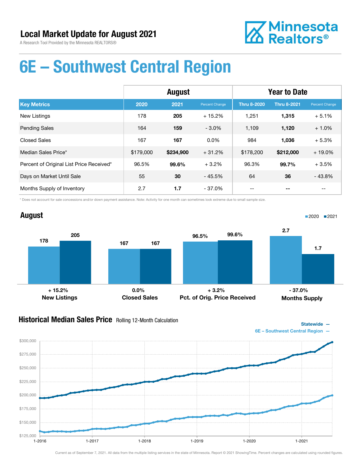

## 6E – Southwest Central Region

|                                          | <b>August</b> |           |                | <b>Year to Date</b> |                    |                |
|------------------------------------------|---------------|-----------|----------------|---------------------|--------------------|----------------|
| <b>Key Metrics</b>                       | 2020          | 2021      | Percent Change | <b>Thru 8-2020</b>  | <b>Thru 8-2021</b> | Percent Change |
| <b>New Listings</b>                      | 178           | 205       | $+15.2%$       | 1,251               | 1,315              | $+5.1%$        |
| <b>Pending Sales</b>                     | 164           | 159       | $-3.0%$        | 1,109               | 1,120              | $+1.0%$        |
| <b>Closed Sales</b>                      | 167           | 167       | $0.0\%$        | 984                 | 1,036              | $+5.3%$        |
| Median Sales Price*                      | \$179,000     | \$234,900 | $+31.2%$       | \$178,200           | \$212,000          | $+19.0%$       |
| Percent of Original List Price Received* | 96.5%         | 99.6%     | $+3.2%$        | 96.3%               | 99.7%              | $+3.5%$        |
| Days on Market Until Sale                | 55            | 30        | $-45.5%$       | 64                  | 36                 | $-43.8%$       |
| Months Supply of Inventory               | 2.7           | 1.7       | $-37.0%$       |                     | --                 | --             |

\* Does not account for sale concessions and/or down payment assistance. Note: Activity for one month can sometimes look extreme due to small sample size.



#### **Historical Median Sales Price** Rolling 12-Month Calculation



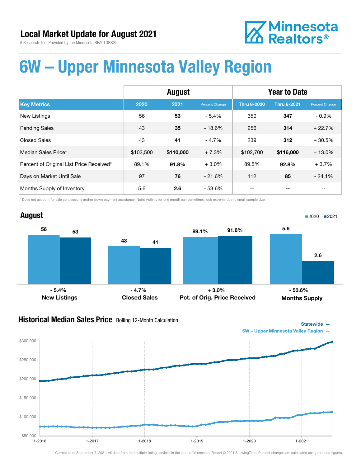**Z** Minnesota<br>**ZA** Realtors<sup>®</sup>

A Research Tool Provided by the Minnesota REALTORS®

# 6W – Upper Minnesota Valley Region

|                                          | August    |           |                | <b>Year to Date</b> |                    |                |
|------------------------------------------|-----------|-----------|----------------|---------------------|--------------------|----------------|
| <b>Key Metrics</b>                       | 2020      | 2021      | Percent Change | Thru 8-2020         | <b>Thru 8-2021</b> | Percent Change |
| <b>New Listings</b>                      | 56        | 53        | $-5.4%$        | 350                 | 347                | $-0.9%$        |
| <b>Pending Sales</b>                     | 43        | 35        | $-18.6%$       | 256                 | 314                | $+22.7%$       |
| Closed Sales                             | 43        | 41        | $-4.7%$        | 239                 | 312                | $+30.5%$       |
| Median Sales Price*                      | \$102,500 | \$110,000 | $+7.3%$        | \$102,700           | \$116,000          | $+13.0%$       |
| Percent of Original List Price Received* | 89.1%     | 91.8%     | $+3.0%$        | 89.5%               | 92.8%              | $+3.7%$        |
| Days on Market Until Sale                | 97        | 76        | $-21.6%$       | 112                 | 85                 | $-24.1%$       |
| Months Supply of Inventory               | 5.6       | 2.6       | $-53.6%$       |                     |                    | $- -$          |

\* Does not account for sale concessions and/or down payment assistance. Note: Activity for one month can sometimes look extreme due to small sample size.



### Historical Median Sales Price Rolling 12-Month Calculation



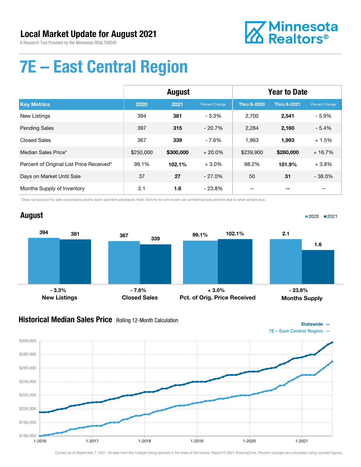

■2020 ■2021

# 7E – East Central Region

|                                          | <b>August</b> |           |                | <b>Year to Date</b> |                    |                |
|------------------------------------------|---------------|-----------|----------------|---------------------|--------------------|----------------|
| <b>Key Metrics</b>                       | 2020          | 2021      | Percent Change | <b>Thru 8-2020</b>  | <b>Thru 8-2021</b> | Percent Change |
| New Listings                             | 394           | 381       | $-3.3%$        | 2,700               | 2,541              | $-5.9\%$       |
| <b>Pending Sales</b>                     | 397           | 315       | $-20.7%$       | 2,284               | 2,160              | $-5.4%$        |
| <b>Closed Sales</b>                      | 367           | 339       | $-7.6%$        | 1,963               | 1,993              | $+1.5%$        |
| Median Sales Price*                      | \$250,000     | \$300,000 | $+20.0\%$      | \$239,900           | \$280,000          | $+16.7%$       |
| Percent of Original List Price Received* | 99.1%         | 102.1%    | $+3.0%$        | 98.2%               | 101.9%             | $+3.8%$        |
| Days on Market Until Sale                | 37            | 27        | $-27.0%$       | 50                  | 31                 | $-38.0%$       |
| Months Supply of Inventory               | 2.1           | 1.6       | $-23.8%$       |                     |                    |                |

\* Does not account for sale concessions and/or down payment assistance. Note: Activity for one month can sometimes look extreme due to small sample size.

### August



### **Historical Median Sales Price** Rolling 12-Month Calculation

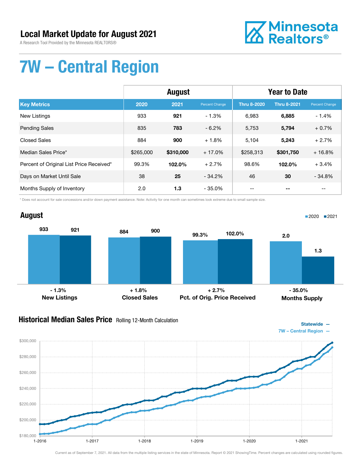A Research Tool Provided by the Minnesota REALTORS®



# 7W – Central Region

|                                          | <b>August</b> |           |                | <b>Year to Date</b> |                    |                |
|------------------------------------------|---------------|-----------|----------------|---------------------|--------------------|----------------|
| <b>Key Metrics</b>                       | 2020          | 2021      | Percent Change | <b>Thru 8-2020</b>  | <b>Thru 8-2021</b> | Percent Change |
| New Listings                             | 933           | 921       | $-1.3%$        | 6,983               | 6,885              | $-1.4%$        |
| <b>Pending Sales</b>                     | 835           | 783       | $-6.2\%$       | 5,753               | 5,794              | $+0.7%$        |
| <b>Closed Sales</b>                      | 884           | 900       | $+1.8%$        | 5,104               | 5,243              | $+2.7%$        |
| Median Sales Price*                      | \$265,000     | \$310,000 | $+17.0%$       | \$258,313           | \$301,750          | $+16.8%$       |
| Percent of Original List Price Received* | 99.3%         | 102.0%    | $+2.7%$        | 98.6%               | 102.0%             | $+3.4%$        |
| Days on Market Until Sale                | 38            | 25        | $-34.2%$       | 46                  | 30                 | $-34.8%$       |
| Months Supply of Inventory               | 2.0           | 1.3       | $-35.0%$       | --                  |                    | $- -$          |

\* Does not account for sale concessions and/or down payment assistance. Note: Activity for one month can sometimes look extreme due to small sample size.

#### August <sup>933</sup> <sup>884</sup> <sup>921</sup> <sup>900</sup> New Listings Closed Sales 99.3% 102.0% Pct. of Orig. Price Received 2.0 1.3 Months Supply ■2020 2021  $-1.3\%$  - 1.3% + 2.7% - 35.0%

### **Historical Median Sales Price** Rolling 12-Month Calculation

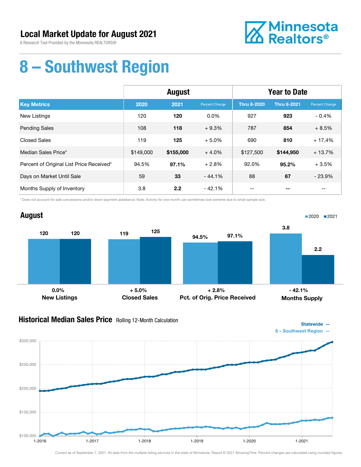A Research Tool Provided by the Minnesota REALTORS®



## 8 – Southwest Region

|                                          | <b>August</b> |           |                | <b>Year to Date</b> |                    |                          |
|------------------------------------------|---------------|-----------|----------------|---------------------|--------------------|--------------------------|
| <b>Key Metrics</b>                       | 2020          | 2021      | Percent Change | Thru 8-2020         | <b>Thru 8-2021</b> | Percent Change           |
| New Listings                             | 120           | 120       | $0.0\%$        | 927                 | 923                | $-0.4%$                  |
| <b>Pending Sales</b>                     | 108           | 118       | $+9.3%$        | 787                 | 854                | $+8.5%$                  |
| Closed Sales                             | 119           | 125       | $+5.0%$        | 690                 | 810                | $+17.4%$                 |
| Median Sales Price*                      | \$149,000     | \$155,000 | $+4.0%$        | \$127,500           | \$144,950          | $+13.7%$                 |
| Percent of Original List Price Received* | 94.5%         | 97.1%     | $+2.8%$        | 92.0%               | 95.2%              | $+3.5%$                  |
| Days on Market Until Sale                | 59            | 33        | $-44.1%$       | 88                  | 67                 | $-23.9%$                 |
| Months Supply of Inventory               | 3.8           | 2.2       | $-42.1%$       | $- -$               | --                 | $\overline{\phantom{m}}$ |

\* Does not account for sale concessions and/or down payment assistance. Note: Activity for one month can sometimes look extreme due to small sample size.



### **Historical Median Sales Price** Rolling 12-Month Calculation



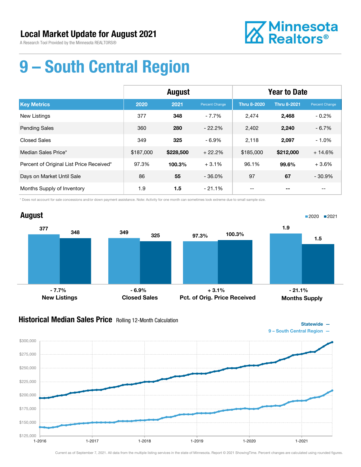

# 9 – South Central Region

|                                          | August    |           |                | <b>Year to Date</b> |                    |                |
|------------------------------------------|-----------|-----------|----------------|---------------------|--------------------|----------------|
| <b>Key Metrics</b>                       | 2020      | 2021      | Percent Change | <b>Thru 8-2020</b>  | <b>Thru 8-2021</b> | Percent Change |
| <b>New Listings</b>                      | 377       | 348       | $-7.7%$        | 2.474               | 2,468              | $-0.2%$        |
| <b>Pending Sales</b>                     | 360       | 280       | $-22.2%$       | 2,402               | 2,240              | $-6.7\%$       |
| <b>Closed Sales</b>                      | 349       | 325       | $-6.9%$        | 2,118               | 2,097              | $-1.0%$        |
| Median Sales Price*                      | \$187,000 | \$228,500 | $+22.2%$       | \$185,000           | \$212,000          | $+14.6%$       |
| Percent of Original List Price Received* | 97.3%     | 100.3%    | $+3.1%$        | 96.1%               | 99.6%              | $+3.6%$        |
| Days on Market Until Sale                | 86        | 55        | $-36.0%$       | 97                  | 67                 | $-30.9%$       |
| Months Supply of Inventory               | 1.9       | 1.5       | $-21.1%$       | --                  |                    | --             |

\* Does not account for sale concessions and/or down payment assistance. Note: Activity for one month can sometimes look extreme due to small sample size.



### Historical Median Sales Price Rolling 12-Month Calculation

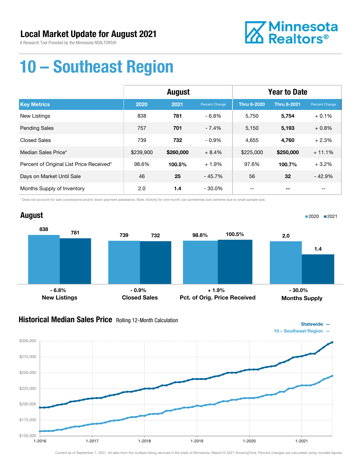A Research Tool Provided by the Minnesota REALTORS®



## 10 – Southeast Region

|                                          | <b>August</b> |           |                | <b>Year to Date</b> |                    |                |
|------------------------------------------|---------------|-----------|----------------|---------------------|--------------------|----------------|
| <b>Key Metrics</b>                       | 2020          | 2021      | Percent Change | <b>Thru 8-2020</b>  | <b>Thru 8-2021</b> | Percent Change |
| <b>New Listings</b>                      | 838           | 781       | $-6.8%$        | 5.750               | 5,754              | $+0.1%$        |
| <b>Pending Sales</b>                     | 757           | 701       | $-7.4%$        | 5,150               | 5,193              | $+0.8%$        |
| <b>Closed Sales</b>                      | 739           | 732       | $-0.9%$        | 4,655               | 4,760              | $+2.3%$        |
| Median Sales Price*                      | \$239,900     | \$260,000 | $+8.4%$        | \$225,000           | \$250,000          | $+11.1%$       |
| Percent of Original List Price Received* | 98.6%         | 100.5%    | $+1.9%$        | 97.6%               | 100.7%             | $+3.2%$        |
| Days on Market Until Sale                | 46            | 25        | $-45.7%$       | 56                  | 32                 | $-42.9%$       |
| Months Supply of Inventory               | 2.0           | 1.4       | $-30.0\%$      | --                  |                    | $- -$          |

\* Does not account for sale concessions and/or down payment assistance. Note: Activity for one month can sometimes look extreme due to small sample size.



### **Historical Median Sales Price** Rolling 12-Month Calculation